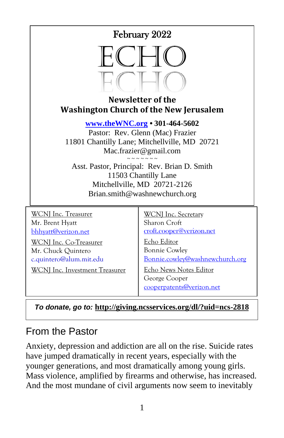# February 2022



#### **Newsletter of the Washington Church of the New Jerusalem**

**[www.theWNC.org](http://www.thewnc.org/) • 301-464-5602**

Pastor: Rev. Glenn (Mac) Frazier 11801 Chantilly Lane; Mitchellville, MD 20721 Mac.frazier@gmail.com

 $\sim$   $\sim$   $\sim$   $\sim$   $\sim$   $\sim$ Asst. Pastor, Principal: Rev. Brian D. Smith 11503 Chantilly Lane Mitchellville, MD 20721-2126 Brian.smith@washnewchurch.org

WCNI Inc. Treasurer Mr. Brent Hyatt [bhhyatt@verizon.net](mailto:bhhyatt@verizon.net)

WCNJ Inc. Co-Treasurer Mr. Chuck Quintero c.quintero@alum.mit.edu

WCNJ Inc. Investment Treasurer

WCNJ Inc. Secretary Sharon Croft [croft.cooper@verizon.net](mailto:croft.cooper@verizon.net)

Echo Editor Bonnie Cowley [Bonnie.cowley@washnewchurch.org](mailto:Bonnie.cowley@washnewchurch.org)

Echo News Notes Editor George Cooper [cooperpatents@verizon.net](mailto:cooperpatents@verizon.net)

*To donate, go to:* **<http://giving.ncsservices.org/dl/?uid=ncs-2818>**

# From the Pastor

Anxiety, depression and addiction are all on the rise. Suicide rates have jumped dramatically in recent years, especially with the younger generations, and most dramatically among young girls. Mass violence, amplified by firearms and otherwise, has increased. And the most mundane of civil arguments now seem to inevitably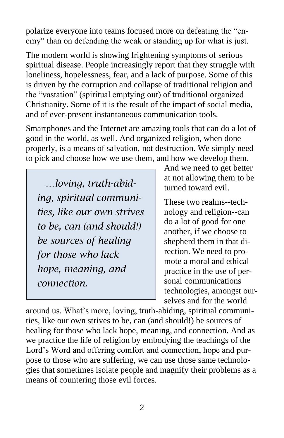polarize everyone into teams focused more on defeating the "enemy" than on defending the weak or standing up for what is just.

The modern world is showing frightening symptoms of serious spiritual disease. People increasingly report that they struggle with loneliness, hopelessness, fear, and a lack of purpose. Some of this is driven by the corruption and collapse of traditional religion and the "vastation" (spiritual emptying out) of traditional organized Christianity. Some of it is the result of the impact of social media, and of ever-present instantaneous communication tools.

Smartphones and the Internet are amazing tools that can do a lot of good in the world, as well. And organized religion, when done properly, is a means of salvation, not destruction. We simply need to pick and choose how we use them, and how we develop them.

 *…loving, truth-abiding, spiritual communities, like our own strives to be, can (and should!) be sources of healing for those who lack hope, meaning, and connection.*

And we need to get better at not allowing them to be turned toward evil.

These two realms--technology and religion--can do a lot of good for one another, if we choose to shepherd them in that direction. We need to promote a moral and ethical practice in the use of personal communications technologies, amongst ourselves and for the world

around us. What's more, loving, truth-abiding, spiritual communities, like our own strives to be, can (and should!) be sources of healing for those who lack hope, meaning, and connection. And as we practice the life of religion by embodying the teachings of the Lord's Word and offering comfort and connection, hope and purpose to those who are suffering, we can use those same technologies that sometimes isolate people and magnify their problems as a means of countering those evil forces.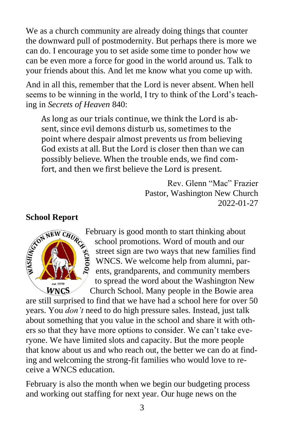We as a church community are already doing things that counter the downward pull of postmodernity. But perhaps there is more we can do. I encourage you to set aside some time to ponder how we can be even more a force for good in the world around us. Talk to your friends about this. And let me know what you come up with.

And in all this, remember that the Lord is never absent. When hell seems to be winning in the world, I try to think of the Lord's teaching in *Secrets of Heaven* 840:

As long as our trials continue, we think the Lord is absent, since evil demons disturb us, sometimes to the point where despair almost prevents us from believing God exists at all. But the Lord is closer then than we can possibly believe. When the trouble ends, we find comfort, and then we first believe the Lord is present.

> Rev. Glenn "Mac" Frazier Pastor, Washington New Church 2022-01-27



February is good month to start thinking about school promotions. Word of mouth and our street sign are two ways that new families find WNCS. We welcome help from alumni, parents, grandparents, and community members to spread the word about the Washington New Church School. Many people in the Bowie area

are still surprised to find that we have had a school here for over 50 years. You *don't* need to do high pressure sales. Instead, just talk about something that you value in the school and share it with others so that they have more options to consider. We can't take everyone. We have limited slots and capacity. But the more people that know about us and who reach out, the better we can do at finding and welcoming the strong-fit families who would love to receive a WNCS education.

February is also the month when we begin our budgeting process and working out staffing for next year. Our huge news on the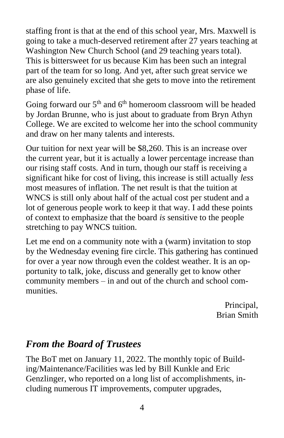staffing front is that at the end of this school year, Mrs. Maxwell is going to take a much-deserved retirement after 27 years teaching at Washington New Church School (and 29 teaching years total). This is bittersweet for us because Kim has been such an integral part of the team for so long. And yet, after such great service we are also genuinely excited that she gets to move into the retirement phase of life.

Going forward our  $5<sup>th</sup>$  and  $6<sup>th</sup>$  homeroom classroom will be headed by Jordan Brunne, who is just about to graduate from Bryn Athyn College. We are excited to welcome her into the school community and draw on her many talents and interests.

Our tuition for next year will be \$8,260. This is an increase over the current year, but it is actually a lower percentage increase than our rising staff costs. And in turn, though our staff is receiving a significant hike for cost of living, this increase is still actually *less* most measures of inflation. The net result is that the tuition at WNCS is still only about half of the actual cost per student and a lot of generous people work to keep it that way. I add these points of context to emphasize that the board *is* sensitive to the people stretching to pay WNCS tuition.

Let me end on a community note with a (warm) invitation to stop by the Wednesday evening fire circle. This gathering has continued for over a year now through even the coldest weather. It is an opportunity to talk, joke, discuss and generally get to know other community members – in and out of the church and school communities.

> Principal, Brian Smith

# *From the Board of Trustees*

The BoT met on January 11, 2022. The monthly topic of Building/Maintenance/Facilities was led by Bill Kunkle and Eric Genzlinger, who reported on a long list of accomplishments, including numerous IT improvements, computer upgrades,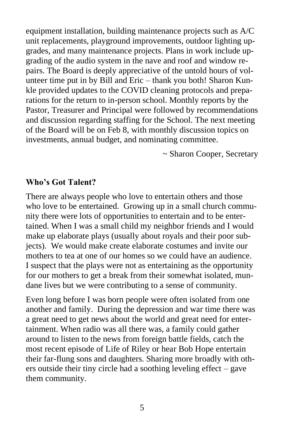equipment installation, building maintenance projects such as A/C unit replacements, playground improvements, outdoor lighting upgrades, and many maintenance projects. Plans in work include upgrading of the audio system in the nave and roof and window repairs. The Board is deeply appreciative of the untold hours of volunteer time put in by Bill and Eric – thank you both! Sharon Kunkle provided updates to the COVID cleaning protocols and preparations for the return to in-person school. Monthly reports by the Pastor, Treasurer and Principal were followed by recommendations and discussion regarding staffing for the School. The next meeting of the Board will be on Feb 8, with monthly discussion topics on investments, annual budget, and nominating committee.

~ Sharon Cooper, Secretary

#### **Who's Got Talent?**

There are always people who love to entertain others and those who love to be entertained. Growing up in a small church community there were lots of opportunities to entertain and to be entertained. When I was a small child my neighbor friends and I would make up elaborate plays (usually about royals and their poor subjects). We would make create elaborate costumes and invite our mothers to tea at one of our homes so we could have an audience. I suspect that the plays were not as entertaining as the opportunity for our mothers to get a break from their somewhat isolated, mundane lives but we were contributing to a sense of community.

Even long before I was born people were often isolated from one another and family. During the depression and war time there was a great need to get news about the world and great need for entertainment. When radio was all there was, a family could gather around to listen to the news from foreign battle fields, catch the most recent episode of Life of Riley or hear Bob Hope entertain their far-flung sons and daughters. Sharing more broadly with others outside their tiny circle had a soothing leveling effect – gave them community.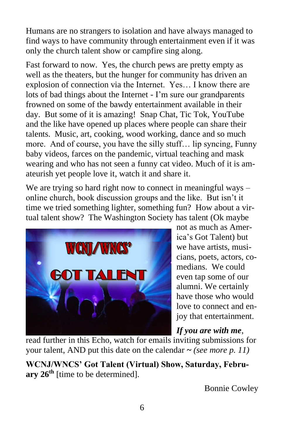Humans are no strangers to isolation and have always managed to find ways to have community through entertainment even if it was only the church talent show or campfire sing along.

Fast forward to now. Yes, the church pews are pretty empty as well as the theaters, but the hunger for community has driven an explosion of connection via the Internet. Yes… I know there are lots of bad things about the Internet - I'm sure our grandparents frowned on some of the bawdy entertainment available in their day. But some of it is amazing! Snap Chat, Tic Tok, YouTube and the like have opened up places where people can share their talents. Music, art, cooking, wood working, dance and so much more. And of course, you have the silly stuff… lip syncing, Funny baby videos, farces on the pandemic, virtual teaching and mask wearing and who has not seen a funny cat video. Much of it is amateurish yet people love it, watch it and share it.

We are trying so hard right now to connect in meaningful ways – online church, book discussion groups and the like. But isn't it time we tried something lighter, something fun? How about a virtual talent show? The Washington Society has talent (Ok maybe



not as much as America's Got Talent) but we have artists, musicians, poets, actors, comedians. We could even tap some of our alumni. We certainly have those who would love to connect and enjoy that entertainment.

*If you are with me*,

read further in this Echo, watch for emails inviting submissions for your talent, AND put this date on the calendar **~** *(see more p. 11)*

**WCNJ/WNCS' Got Talent (Virtual) Show, Saturday, February 26th** [time to be determined].

Bonnie Cowley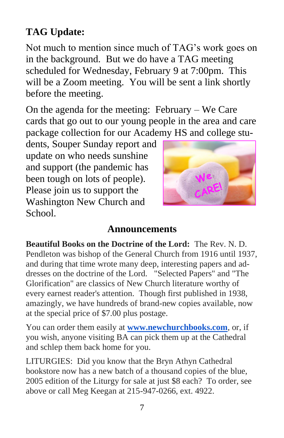# **TAG Update:**

Not much to mention since much of TAG's work goes on in the background. But we do have a TAG meeting scheduled for Wednesday, February 9 at 7:00pm. This will be a Zoom meeting. You will be sent a link shortly before the meeting.

On the agenda for the meeting: February – We Care cards that go out to our young people in the area and care package collection for our Academy HS and college stu-

dents, Souper Sunday report and update on who needs sunshine and support (the pandemic has been tough on lots of people). Please join us to support the Washington New Church and School.



# **Announcements**

**Beautiful Books on the Doctrine of the Lord:** The Rev. N. D. Pendleton was bishop of the General Church from 1916 until 1937, and during that time wrote many deep, interesting papers and addresses on the doctrine of the Lord. "Selected Papers" and "The Glorification" are classics of New Church literature worthy of every earnest reader's attention. Though first published in 1938, amazingly, we have hundreds of brand-new copies available, now at the special price of \$7.00 plus postage.

You can order them easily at **[www.newchurchbooks.com](http://www.newchurchbooks.com/)**, or, if you wish, anyone visiting BA can pick them up at the Cathedral and schlep them back home for you.

LITURGIES: Did you know that the Bryn Athyn Cathedral bookstore now has a new batch of a thousand copies of the blue, 2005 edition of the Liturgy for sale at just \$8 each? To order, see above or call Meg Keegan at 215-947-0266, ext. 4922.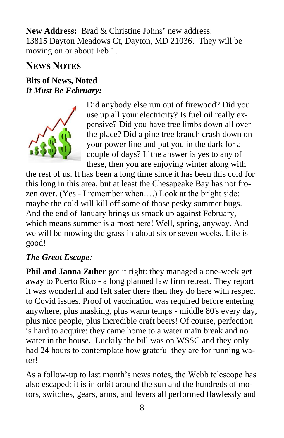**New Address:** Brad & Christine Johns' new address: 13815 Dayton Meadows Ct, Dayton, MD 21036. They will be moving on or about Feb 1.

# **NEWS NOTES**

## **Bits of News, Noted** *It Must Be February:*



Did anybody else run out of firewood? Did you use up all your electricity? Is fuel oil really expensive? Did you have tree limbs down all over the place? Did a pine tree branch crash down on your power line and put you in the dark for a couple of days? If the answer is yes to any of these, then you are enjoying winter along with

the rest of us. It has been a long time since it has been this cold for this long in this area, but at least the Chesapeake Bay has not frozen over. (Yes - I remember when….) Look at the bright side: maybe the cold will kill off some of those pesky summer bugs. And the end of January brings us smack up against February, which means summer is almost here! Well, spring, anyway. And we will be mowing the grass in about six or seven weeks. Life is good!

### *The Great Escape:*

**Phil and Janna Zuber** got it right: they managed a one-week get away to Puerto Rico - a long planned law firm retreat. They report it was wonderful and felt safer there then they do here with respect to Covid issues. Proof of vaccination was required before entering anywhere, plus masking, plus warm temps - middle 80's every day, plus nice people, plus incredible craft beers! Of course, perfection is hard to acquire: they came home to a water main break and no water in the house. Luckily the bill was on WSSC and they only had 24 hours to contemplate how grateful they are for running water!

As a follow-up to last month's news notes, the Webb telescope has also escaped; it is in orbit around the sun and the hundreds of motors, switches, gears, arms, and levers all performed flawlessly and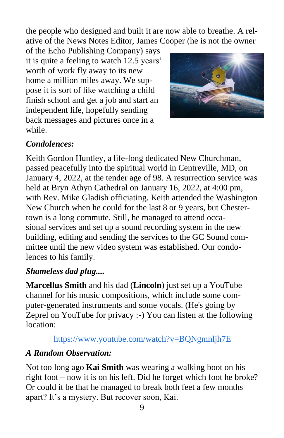the people who designed and built it are now able to breathe. A relative of the News Notes Editor, James Cooper (he is not the owner

of the Echo Publishing Company) says it is quite a feeling to watch 12.5 years' worth of work fly away to its new home a million miles away. We suppose it is sort of like watching a child finish school and get a job and start an independent life, hopefully sending back messages and pictures once in a while.



# *Condolences:*

Keith Gordon Huntley, a life-long dedicated New Churchman, passed peacefully into the spiritual world in Centreville, MD, on January 4, 2022, at the tender age of 98. A resurrection service was held at Bryn Athyn Cathedral on January 16, 2022, at 4:00 pm, with Rev. Mike Gladish officiating. Keith attended the Washington New Church when he could for the last 8 or 9 years, but Chestertown is a long commute. Still, he managed to attend occasional services and set up a sound recording system in the new building, editing and sending the services to the GC Sound committee until the new video system was established. Our condolences to his family.

### *Shameless dad plug....*

**Marcellus Smith** and his dad (**Lincoln**) just set up a YouTube channel for his music compositions, which include some computer-generated instruments and some vocals. (He's going by Zeprel on YouTube for privacy :-) You can listen at the following location:

### <https://www.youtube.com/watch?v=BQNgmnljh7E>

#### *A Random Observation:*

Not too long ago **Kai Smith** was wearing a walking boot on his right foot – now it is on his left. Did he forget which foot he broke? Or could it be that he managed to break both feet a few months apart? It's a mystery. But recover soon, Kai.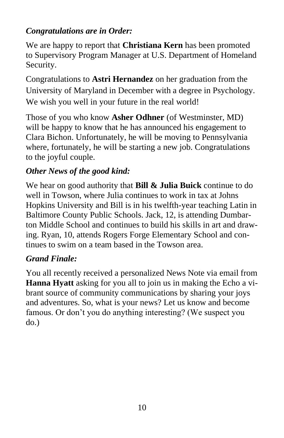## *Congratulations are in Order:*

We are happy to report that **Christiana Kern** has been promoted to Supervisory Program Manager at U.S. Department of Homeland Security.

Congratulations to **Astri Hernandez** on her graduation from the University of Maryland in December with a degree in Psychology. We wish you well in your future in the real world!

Those of you who know **Asher Odhner** (of Westminster, MD) will be happy to know that he has announced his engagement to Clara Bichon. Unfortunately, he will be moving to Pennsylvania where, fortunately, he will be starting a new job. Congratulations to the joyful couple.

# *Other News of the good kind:*

We hear on good authority that **Bill & Julia Buick** continue to do well in Towson, where Julia continues to work in tax at Johns Hopkins University and Bill is in his twelfth-year teaching Latin in Baltimore County Public Schools. Jack, 12, is attending Dumbarton Middle School and continues to build his skills in art and drawing. Ryan, 10, attends Rogers Forge Elementary School and continues to swim on a team based in the Towson area.

# *Grand Finale:*

You all recently received a personalized News Note via email from **Hanna Hyatt** asking for you all to join us in making the Echo a vibrant source of community communications by sharing your joys and adventures. So, what is your news? Let us know and become famous. Or don't you do anything interesting? (We suspect you do.)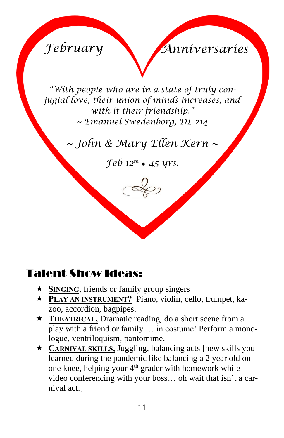*February Anniversaries*

*"With people who are in a state of truly conjugial love, their union of minds increases, and with it their friendship." ~ Emanuel Swedenborg, DL 214*

*~ John & Mary Ellen Kern ~* 

 $\mathcal{F}e\mathcal{b}$  12<sup>th</sup> • 45 yrs.

# Talent Show Ideas:

- ★ **SINGING**, friends or family group singers
- **PLAY AN INSTRUMENT?** Piano, violin, cello, trumpet, kazoo, accordion, bagpipes.
- ★ **THEATRICAL**, Dramatic reading, do a short scene from a play with a friend or family … in costume! Perform a monologue, ventriloquism, pantomime.
- **CARNIVAL SKILLS,** Juggling, balancing acts [new skills you learned during the pandemic like balancing a 2 year old on one knee, helping your  $4<sup>th</sup>$  grader with homework while video conferencing with your boss… oh wait that isn't a carnival act.]